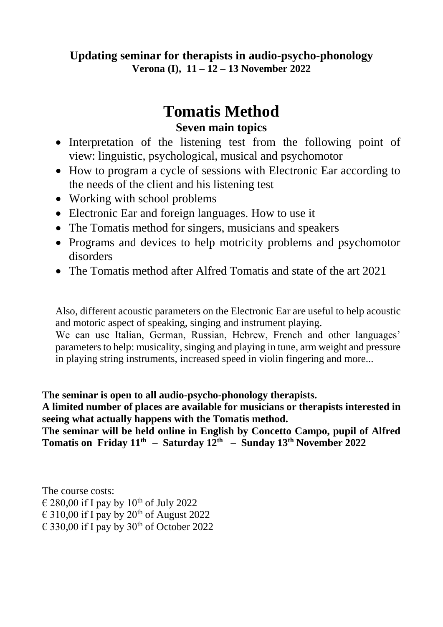### **Updating seminar for therapists in audio-psycho-phonology Verona (I), 11 – 12 – 13 November 2022**

# **Tomatis Method**

## **Seven main topics**

- Interpretation of the listening test from the following point of view: linguistic, psychological, musical and psychomotor
- How to program a cycle of sessions with Electronic Ear according to the needs of the client and his listening test
- Working with school problems
- Electronic Ear and foreign languages. How to use it
- The Tomatis method for singers, musicians and speakers
- Programs and devices to help motricity problems and psychomotor disorders
- The Tomatis method after Alfred Tomatis and state of the art 2021

Also, different acoustic parameters on the Electronic Ear are useful to help acoustic and motoric aspect of speaking, singing and instrument playing.

We can use Italian, German, Russian, Hebrew, French and other languages' parameters to help: musicality, singing and playing in tune, arm weight and pressure in playing string instruments, increased speed in violin fingering and more...

**The seminar is open to all audio-psycho-phonology therapists.** 

**A limited number of places are available for musicians or therapists interested in seeing what actually happens with the Tomatis method.**

**The seminar will be held online in English by Concetto Campo, pupil of Alfred Tomatis on Friday 11th – Saturday 12th – Sunday 13th November 2022**

The course costs:  $\epsilon$  280,00 if I pay by 10<sup>th</sup> of July 2022  $\epsilon$  310,00 if I pay by 20<sup>th</sup> of August 2022  $\epsilon$  330,00 if I pay by 30<sup>th</sup> of October 2022